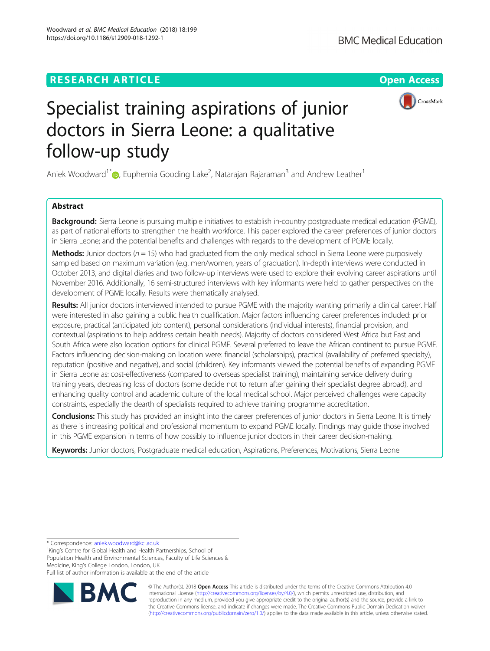

# Specialist training aspirations of junior doctors in Sierra Leone: a qualitative follow-up study

Aniek Woodward<sup>1\*</sup>®[,](http://orcid.org/0000-0002-1560-4208) Euphemia Gooding Lake<sup>2</sup>, Natarajan Rajaraman<sup>3</sup> and Andrew Leather<sup>1</sup>

## Abstract

Background: Sierra Leone is pursuing multiple initiatives to establish in-country postgraduate medical education (PGME), as part of national efforts to strengthen the health workforce. This paper explored the career preferences of junior doctors in Sierra Leone; and the potential benefits and challenges with regards to the development of PGME locally.

**Methods:** Junior doctors ( $n = 15$ ) who had graduated from the only medical school in Sierra Leone were purposively sampled based on maximum variation (e.g. men/women, years of graduation). In-depth interviews were conducted in October 2013, and digital diaries and two follow-up interviews were used to explore their evolving career aspirations until November 2016. Additionally, 16 semi-structured interviews with key informants were held to gather perspectives on the development of PGME locally. Results were thematically analysed.

Results: All junior doctors interviewed intended to pursue PGME with the majority wanting primarily a clinical career. Half were interested in also gaining a public health qualification. Major factors influencing career preferences included: prior exposure, practical (anticipated job content), personal considerations (individual interests), financial provision, and contextual (aspirations to help address certain health needs). Majority of doctors considered West Africa but East and South Africa were also location options for clinical PGME. Several preferred to leave the African continent to pursue PGME. Factors influencing decision-making on location were: financial (scholarships), practical (availability of preferred specialty), reputation (positive and negative), and social (children). Key informants viewed the potential benefits of expanding PGME in Sierra Leone as: cost-effectiveness (compared to overseas specialist training), maintaining service delivery during training years, decreasing loss of doctors (some decide not to return after gaining their specialist degree abroad), and enhancing quality control and academic culture of the local medical school. Major perceived challenges were capacity constraints, especially the dearth of specialists required to achieve training programme accreditation.

Conclusions: This study has provided an insight into the career preferences of junior doctors in Sierra Leone. It is timely as there is increasing political and professional momentum to expand PGME locally. Findings may guide those involved in this PGME expansion in terms of how possibly to influence junior doctors in their career decision-making.

Keywords: Junior doctors, Postgraduate medical education, Aspirations, Preferences, Motivations, Sierra Leone

\* Correspondence: [aniek.woodward@kcl.ac.uk](mailto:aniek.woodward@kcl.ac.uk) <sup>1</sup>

<sup>1</sup>King's Centre for Global Health and Health Partnerships, School of Population Health and Environmental Sciences, Faculty of Life Sciences & Medicine, King's College London, London, UK





© The Author(s). 2018 Open Access This article is distributed under the terms of the Creative Commons Attribution 4.0 International License [\(http://creativecommons.org/licenses/by/4.0/](http://creativecommons.org/licenses/by/4.0/)), which permits unrestricted use, distribution, and reproduction in any medium, provided you give appropriate credit to the original author(s) and the source, provide a link to the Creative Commons license, and indicate if changes were made. The Creative Commons Public Domain Dedication waiver [\(http://creativecommons.org/publicdomain/zero/1.0/](http://creativecommons.org/publicdomain/zero/1.0/)) applies to the data made available in this article, unless otherwise stated.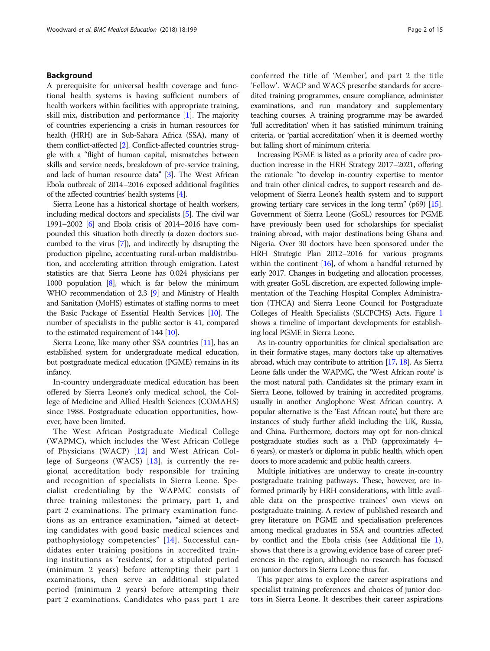## Background

A prerequisite for universal health coverage and functional health systems is having sufficient numbers of health workers within facilities with appropriate training, skill mix, distribution and performance [[1](#page-13-0)]. The majority of countries experiencing a crisis in human resources for health (HRH) are in Sub-Sahara Africa (SSA), many of them conflict-affected [\[2\]](#page-13-0). Conflict-affected countries struggle with a "flight of human capital, mismatches between skills and service needs, breakdown of pre-service training, and lack of human resource data" [\[3\]](#page-13-0). The West African Ebola outbreak of 2014–2016 exposed additional fragilities of the affected countries' health systems [[4\]](#page-13-0).

Sierra Leone has a historical shortage of health workers, including medical doctors and specialists [\[5\]](#page-14-0). The civil war 1991–2002 [\[6](#page-14-0)] and Ebola crisis of 2014–2016 have compounded this situation both directly (a dozen doctors succumbed to the virus [\[7\]](#page-14-0)), and indirectly by disrupting the production pipeline, accentuating rural-urban maldistribution, and accelerating attrition through emigration. Latest statistics are that Sierra Leone has 0.024 physicians per 1000 population [\[8\]](#page-14-0), which is far below the minimum WHO recommendation of 2.3 [[9](#page-14-0)] and Ministry of Health and Sanitation (MoHS) estimates of staffing norms to meet the Basic Package of Essential Health Services [[10](#page-14-0)]. The number of specialists in the public sector is 41, compared to the estimated requirement of 144 [\[10\]](#page-14-0).

Sierra Leone, like many other SSA countries [\[11\]](#page-14-0), has an established system for undergraduate medical education, but postgraduate medical education (PGME) remains in its infancy.

In-country undergraduate medical education has been offered by Sierra Leone's only medical school, the College of Medicine and Allied Health Sciences (COMAHS) since 1988. Postgraduate education opportunities, however, have been limited.

The West African Postgraduate Medical College (WAPMC), which includes the West African College of Physicians (WACP) [\[12\]](#page-14-0) and West African College of Surgeons (WACS) [[13](#page-14-0)], is currently the regional accreditation body responsible for training and recognition of specialists in Sierra Leone. Specialist credentialing by the WAPMC consists of three training milestones: the primary, part 1, and part 2 examinations. The primary examination functions as an entrance examination, "aimed at detecting candidates with good basic medical sciences and pathophysiology competencies" [[14](#page-14-0)]. Successful candidates enter training positions in accredited training institutions as 'residents', for a stipulated period (minimum 2 years) before attempting their part 1 examinations, then serve an additional stipulated period (minimum 2 years) before attempting their part 2 examinations. Candidates who pass part 1 are conferred the title of 'Member', and part 2 the title 'Fellow'. WACP and WACS prescribe standards for accredited training programmes, ensure compliance, administer examinations, and run mandatory and supplementary teaching courses. A training programme may be awarded 'full accreditation' when it has satisfied minimum training criteria, or 'partial accreditation' when it is deemed worthy but falling short of minimum criteria.

Increasing PGME is listed as a priority area of cadre production increase in the HRH Strategy 2017–2021, offering the rationale "to develop in-country expertise to mentor and train other clinical cadres, to support research and development of Sierra Leone's health system and to support growing tertiary care services in the long term" (p69) [\[15](#page-14-0)]. Government of Sierra Leone (GoSL) resources for PGME have previously been used for scholarships for specialist training abroad, with major destinations being Ghana and Nigeria. Over 30 doctors have been sponsored under the HRH Strategic Plan 2012–2016 for various programs within the continent  $[16]$ , of whom a handful returned by early 2017. Changes in budgeting and allocation processes, with greater GoSL discretion, are expected following implementation of the Teaching Hospital Complex Administration (THCA) and Sierra Leone Council for Postgraduate Colleges of Health Specialists (SLCPCHS) Acts. Figure [1](#page-2-0) shows a timeline of important developments for establishing local PGME in Sierra Leone.

As in-country opportunities for clinical specialisation are in their formative stages, many doctors take up alternatives abroad, which may contribute to attrition [[17,](#page-14-0) [18](#page-14-0)]. As Sierra Leone falls under the WAPMC, the 'West African route' is the most natural path. Candidates sit the primary exam in Sierra Leone, followed by training in accredited programs, usually in another Anglophone West African country. A popular alternative is the 'East African route', but there are instances of study further afield including the UK, Russia, and China. Furthermore, doctors may opt for non-clinical postgraduate studies such as a PhD (approximately 4– 6 years), or master's or diploma in public health, which open doors to more academic and public health careers.

Multiple initiatives are underway to create in-country postgraduate training pathways. These, however, are informed primarily by HRH considerations, with little available data on the prospective trainees' own views on postgraduate training. A review of published research and grey literature on PGME and specialisation preferences among medical graduates in SSA and countries affected by conflict and the Ebola crisis (see Additional file [1](#page-13-0)), shows that there is a growing evidence base of career preferences in the region, although no research has focused on junior doctors in Sierra Leone thus far.

This paper aims to explore the career aspirations and specialist training preferences and choices of junior doctors in Sierra Leone. It describes their career aspirations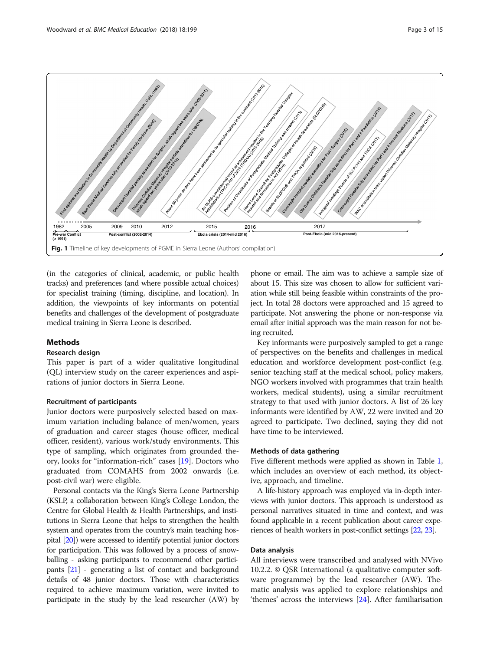<span id="page-2-0"></span>

(in the categories of clinical, academic, or public health tracks) and preferences (and where possible actual choices) for specialist training (timing, discipline, and location). In addition, the viewpoints of key informants on potential benefits and challenges of the development of postgraduate medical training in Sierra Leone is described.

## Methods

## Research design

This paper is part of a wider qualitative longitudinal (QL) interview study on the career experiences and aspirations of junior doctors in Sierra Leone.

## Recruitment of participants

Junior doctors were purposively selected based on maximum variation including balance of men/women, years of graduation and career stages (house officer, medical officer, resident), various work/study environments. This type of sampling, which originates from grounded theory, looks for "information-rich" cases [[19](#page-14-0)]. Doctors who graduated from COMAHS from 2002 onwards (i.e. post-civil war) were eligible.

Personal contacts via the King's Sierra Leone Partnership (KSLP, a collaboration between King's College London, the Centre for Global Health & Health Partnerships, and institutions in Sierra Leone that helps to strengthen the health system and operates from the country's main teaching hospital [\[20\]](#page-14-0)) were accessed to identify potential junior doctors for participation. This was followed by a process of snowballing - asking participants to recommend other participants [\[21\]](#page-14-0) - generating a list of contact and background details of 48 junior doctors. Those with characteristics required to achieve maximum variation, were invited to participate in the study by the lead researcher (AW) by

phone or email. The aim was to achieve a sample size of about 15. This size was chosen to allow for sufficient variation while still being feasible within constraints of the project. In total 28 doctors were approached and 15 agreed to participate. Not answering the phone or non-response via email after initial approach was the main reason for not being recruited.

Key informants were purposively sampled to get a range of perspectives on the benefits and challenges in medical education and workforce development post-conflict (e.g. senior teaching staff at the medical school, policy makers, NGO workers involved with programmes that train health workers, medical students), using a similar recruitment strategy to that used with junior doctors. A list of 26 key informants were identified by AW, 22 were invited and 20 agreed to participate. Two declined, saying they did not have time to be interviewed.

## Methods of data gathering

Five different methods were applied as shown in Table [1](#page-3-0), which includes an overview of each method, its objective, approach, and timeline.

A life-history approach was employed via in-depth interviews with junior doctors. This approach is understood as personal narratives situated in time and context, and was found applicable in a recent publication about career experiences of health workers in post-conflict settings [\[22,](#page-14-0) [23\]](#page-14-0).

## Data analysis

All interviews were transcribed and analysed with NVivo 10.2.2. © QSR International (a qualitative computer software programme) by the lead researcher (AW). Thematic analysis was applied to explore relationships and 'themes' across the interviews [\[24](#page-14-0)]. After familiarisation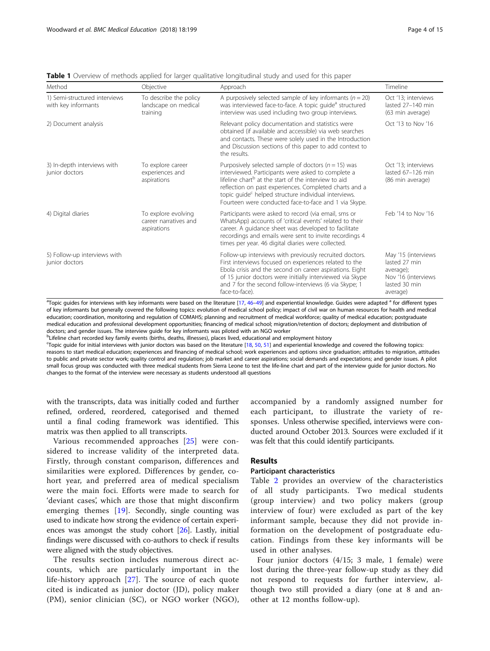| Method                                               | Objective                                                   | Approach                                                                                                                                                                                                                                                                                                                                                                 | Timeline                                                                                              |
|------------------------------------------------------|-------------------------------------------------------------|--------------------------------------------------------------------------------------------------------------------------------------------------------------------------------------------------------------------------------------------------------------------------------------------------------------------------------------------------------------------------|-------------------------------------------------------------------------------------------------------|
| 1) Semi-structured interviews<br>with key informants | To describe the policy<br>landscape on medical<br>training  | A purposively selected sample of key informants ( $n = 20$ )<br>was interviewed face-to-face. A topic quide <sup>a</sup> structured<br>interview was used including two group interviews.                                                                                                                                                                                | Oct '13; interviews<br>lasted 27-140 min<br>(63 min average)                                          |
| 2) Document analysis                                 |                                                             | Relevant policy documentation and statistics were<br>obtained (if available and accessible) via web searches<br>and contacts. These were solely used in the Introduction<br>and Discussion sections of this paper to add context to<br>the results.                                                                                                                      | Oct '13 to Nov '16                                                                                    |
| 3) In-depth interviews with<br>junior doctors        | To explore career<br>experiences and<br>aspirations         | Purposively selected sample of doctors ( $n = 15$ ) was<br>interviewed. Participants were asked to complete a<br>lifeline chart <sup>b</sup> at the start of the interview to aid<br>reflection on past experiences. Completed charts and a<br>topic quide <sup>c</sup> helped structure individual interviews.<br>Fourteen were conducted face-to-face and 1 via Skype. | Oct '13; interviews<br>lasted 67-126 min<br>(86 min average)                                          |
| 4) Digital diaries                                   | To explore evolving<br>career narratives and<br>aspirations | Participants were asked to record (via email, sms or<br>WhatsApp) accounts of 'critical events' related to their<br>career. A quidance sheet was developed to facilitate<br>recordings and emails were sent to invite recordings 4<br>times per year. 46 digital diaries were collected.                                                                                 | Feb '14 to Nov '16                                                                                    |
| 5) Follow-up interviews with<br>junior doctors       |                                                             | Follow-up interviews with previously recruited doctors.<br>First interviews focused on experiences related to the<br>Ebola crisis and the second on career aspirations. Eight<br>of 15 junior doctors were initially interviewed via Skype<br>and 7 for the second follow-interviews (6 via Skype; 1<br>face-to-face).                                                   | May '15 (interviews<br>lasted 27 min<br>average);<br>Nov '16 (interviews<br>lasted 30 min<br>average) |

<span id="page-3-0"></span>**Table 1** Overview of methods applied for larger qualitative longitudinal study and used for this paper

<sup>a</sup>Topic guides for interviews with key informants were based on the literature [\[17](#page-14-0), [46](#page-14-0)–[49\]](#page-14-0) and experiential knowledge. Guides were adapted <sup>a</sup> for different types of key informants but generally covered the following topics: evolution of medical school policy; impact of civil war on human resources for health and medical education; coordination, monitoring and regulation of COMAHS; planning and recruitment of medical workforce; quality of medical education; postgraduate medical education and professional development opportunities; financing of medical school; migration/retention of doctors; deployment and distribution of doctors; and gender issues. The interview guide for key informants was piloted with an NGO worker

bLifeline chart recorded key family events (births, deaths, illnesses), places lived, educational and employment history

c Topic guide for initial interviews with junior doctors was based on the literature [\[18](#page-14-0), [50](#page-14-0), [51\]](#page-14-0) and experiential knowledge and covered the following topics: reasons to start medical education; experiences and financing of medical school; work experiences and options since graduation; attitudes to migration, attitudes to public and private sector work; quality control and regulation; job market and career aspirations; social demands and expectations; and gender issues. A pilot small focus group was conducted with three medical students from Sierra Leone to test the life-line chart and part of the interview guide for junior doctors. No changes to the format of the interview were necessary as students understood all questions

with the transcripts, data was initially coded and further refined, ordered, reordered, categorised and themed until a final coding framework was identified. This matrix was then applied to all transcripts.

Various recommended approaches [\[25](#page-14-0)] were considered to increase validity of the interpreted data. Firstly, through constant comparison, differences and similarities were explored. Differences by gender, cohort year, and preferred area of medical specialism were the main foci. Efforts were made to search for 'deviant cases', which are those that might disconfirm emerging themes [\[19\]](#page-14-0). Secondly, single counting was used to indicate how strong the evidence of certain experiences was amongst the study cohort [\[26\]](#page-14-0). Lastly, initial findings were discussed with co-authors to check if results were aligned with the study objectives.

The results section includes numerous direct accounts, which are particularly important in the life-history approach [[27](#page-14-0)]. The source of each quote cited is indicated as junior doctor (JD), policy maker (PM), senior clinician (SC), or NGO worker (NGO), accompanied by a randomly assigned number for each participant, to illustrate the variety of responses. Unless otherwise specified, interviews were conducted around October 2013. Sources were excluded if it was felt that this could identify participants.

#### Results

## Participant characteristics

Table [2](#page-4-0) provides an overview of the characteristics of all study participants. Two medical students (group interview) and two policy makers (group interview of four) were excluded as part of the key informant sample, because they did not provide information on the development of postgraduate education. Findings from these key informants will be used in other analyses.

Four junior doctors (4/15; 3 male, 1 female) were lost during the three-year follow-up study as they did not respond to requests for further interview, although two still provided a diary (one at 8 and another at 12 months follow-up).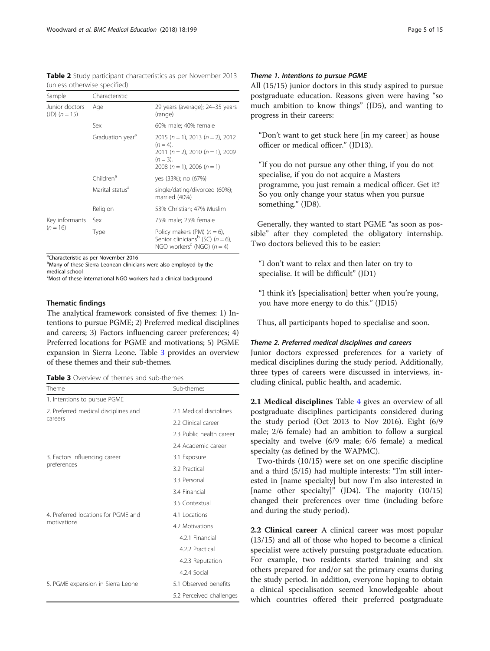<span id="page-4-0"></span>

|  |                              | <b>Table 2</b> Study participant characteristics as per November 2013 |  |  |
|--|------------------------------|-----------------------------------------------------------------------|--|--|
|  | (unless otherwise specified) |                                                                       |  |  |

| Sample                            | Characteristic               |                                                                                                                                               |  |
|-----------------------------------|------------------------------|-----------------------------------------------------------------------------------------------------------------------------------------------|--|
| Junior doctors<br>(JD) $(n = 15)$ | Age                          | 29 years (average); 24-35 years<br>(range)                                                                                                    |  |
|                                   | Sex                          | 60% male; 40% female                                                                                                                          |  |
|                                   | Graduation year <sup>d</sup> | 2015 $(n = 1)$ , 2013 $(n = 2)$ , 2012<br>$(n=4)$ .<br>2011 $(n = 2)$ , 2010 $(n = 1)$ , 2009<br>$(n=3)$ ,<br>2008 $(n = 1)$ , 2006 $(n = 1)$ |  |
|                                   | Children <sup>a</sup>        | yes (33%); no (67%)                                                                                                                           |  |
|                                   | Marital status <sup>a</sup>  | single/dating/divorced (60%);<br>married (40%)                                                                                                |  |
|                                   | Religion                     | 53% Christian; 47% Muslim                                                                                                                     |  |
| Key informants<br>$(n = 16)$      | Sex                          | 75% male; 25% female                                                                                                                          |  |
|                                   | Type                         | Policy makers (PM) $(n = 6)$ ,<br>Senior clinicians <sup>b</sup> (SC) $(n = 6)$ ,<br>NGO workers <sup>c</sup> (NGO) $(n=4)$                   |  |

<sup>a</sup>Characteristic as per November 2016

<sup>b</sup>Many of these Sierra Leonean clinicians were also employed by the medical school

Most of these international NGO workers had a clinical background

#### Thematic findings

The analytical framework consisted of five themes: 1) Intentions to pursue PGME; 2) Preferred medical disciplines and careers; 3) Factors influencing career preferences; 4) Preferred locations for PGME and motivations; 5) PGME expansion in Sierra Leone. Table 3 provides an overview of these themes and their sub-themes.

| <b>Table 3</b> Overview of themes and sub-themes |  |  |
|--------------------------------------------------|--|--|
|--------------------------------------------------|--|--|

| Theme                                | Sub-themes               |  |  |
|--------------------------------------|--------------------------|--|--|
| 1. Intentions to pursue PGME         |                          |  |  |
| 2. Preferred medical disciplines and | 2.1 Medical disciplines  |  |  |
| careers                              | 2.2 Clinical career      |  |  |
|                                      | 2.3 Public health career |  |  |
|                                      | 2.4 Academic career      |  |  |
| 3. Factors influencing career        | 3.1 Exposure             |  |  |
| preferences                          | 3.2 Practical            |  |  |
|                                      | 3.3 Personal             |  |  |
|                                      | 3.4 Financial            |  |  |
|                                      | 3.5 Contextual           |  |  |
| 4. Preferred locations for PGME and  | 4.1 Locations            |  |  |
| motivations                          | 4.2 Motivations          |  |  |
|                                      | 4.2.1 Financial          |  |  |
|                                      | 4.2.2 Practical          |  |  |
|                                      | 4.2.3 Reputation         |  |  |
|                                      | 4.2.4 Social             |  |  |
| 5. PGME expansion in Sierra Leone    | 5.1 Observed benefits    |  |  |
|                                      | 5.2 Perceived challenges |  |  |

## Theme 1. Intentions to pursue PGME

All (15/15) junior doctors in this study aspired to pursue postgraduate education. Reasons given were having "so much ambition to know things" (JD5), and wanting to progress in their careers:

"Don't want to get stuck here [in my career] as house officer or medical officer." (JD13).

"If you do not pursue any other thing, if you do not specialise, if you do not acquire a Masters programme, you just remain a medical officer. Get it? So you only change your status when you pursue something." (JD8).

Generally, they wanted to start PGME "as soon as possible" after they completed the obligatory internship. Two doctors believed this to be easier:

"I don't want to relax and then later on try to specialise. It will be difficult" (JD1)

"I think it's [specialisation] better when you're young, you have more energy to do this." (JD15)

Thus, all participants hoped to specialise and soon.

#### Theme 2. Preferred medical disciplines and careers

Junior doctors expressed preferences for a variety of medical disciplines during the study period. Additionally, three types of careers were discussed in interviews, including clinical, public health, and academic.

2.1 Medical disciplines Table [4](#page-5-0) gives an overview of all postgraduate disciplines participants considered during the study period (Oct 2013 to Nov 2016). Eight (6/9 male; 2/6 female) had an ambition to follow a surgical specialty and twelve (6/9 male; 6/6 female) a medical specialty (as defined by the WAPMC).

Two-thirds (10/15) were set on one specific discipline and a third (5/15) had multiple interests: "I'm still interested in [name specialty] but now I'm also interested in [name other specialty]" (JD4). The majority (10/15) changed their preferences over time (including before and during the study period).

2.2 Clinical career A clinical career was most popular (13/15) and all of those who hoped to become a clinical specialist were actively pursuing postgraduate education. For example, two residents started training and six others prepared for and/or sat the primary exams during the study period. In addition, everyone hoping to obtain a clinical specialisation seemed knowledgeable about which countries offered their preferred postgraduate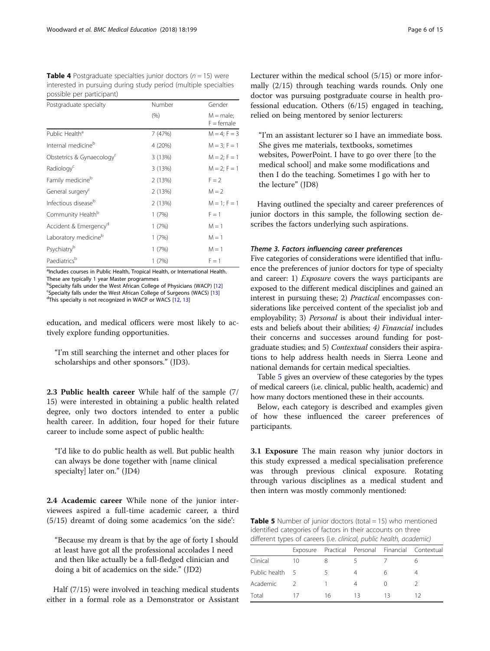<span id="page-5-0"></span>**Table 4** Postgraduate specialties junior doctors ( $n = 15$ ) were interested in pursuing during study period (multiple specialties possible per participant)

| Postgraduate specialty                | Number  | Gender                       |  |
|---------------------------------------|---------|------------------------------|--|
|                                       | (% )    | $M = male;$<br>$F = f$ emale |  |
| Public Health <sup>a</sup>            | 7(47%)  | $M = 4; F = 3$               |  |
| Internal medicine <sup>b</sup>        | 4 (20%) | $M = 3; F = 1$               |  |
| Obstetrics & Gynaecology <sup>c</sup> | 3(13%)  | $M = 2; F = 1$               |  |
| Radiology <sup>c</sup>                | 3(13%)  | $M = 2; F = 1$               |  |
| Family medicine <sup>b</sup>          | 2(13%)  | $F = 2$                      |  |
| General surgery <sup>c</sup>          | 2 (13%) | $M = 2$                      |  |
| Infectious disease <sup>b</sup>       | 2 (13%) | $M = 1$ ; $F = 1$            |  |
| Community Health <sup>b</sup>         | 1(7%)   | $F = 1$                      |  |
| Accident & Emergency <sup>d</sup>     | 1(7%)   | $M = 1$                      |  |
| Laboratory medicine <sup>b</sup>      | 1(7%)   | $M = 1$                      |  |
| Psychiatry <sup>b</sup>               | 1(7%)   | $M = 1$                      |  |
| Paediatricsb                          | 1(7%)   | $F = 1$                      |  |

ancludes courses in Public Health, Tropical Health, or International Health. These are typically 1 year Master programmes

bSpecialty falls under the West African College of Physicians (WACP) [[12\]](#page-14-0)<br>SSpecialty falls under the West African College of Surgeons (WACS) [13] <sup>c</sup>Specialty falls under the West African College of Surgeons (WACS) [\[13](#page-14-0)]  $\overline{P}$ This specialty is not recognized in WACP or WACS [[12,](#page-14-0) [13](#page-14-0)]

education, and medical officers were most likely to actively explore funding opportunities.

"I'm still searching the internet and other places for scholarships and other sponsors." (JD3).

2.3 Public health career While half of the sample (7/ 15) were interested in obtaining a public health related degree, only two doctors intended to enter a public health career. In addition, four hoped for their future career to include some aspect of public health:

"I'd like to do public health as well. But public health can always be done together with [name clinical specialty] later on." (JD4)

2.4 Academic career While none of the junior interviewees aspired a full-time academic career, a third (5/15) dreamt of doing some academics 'on the side':

"Because my dream is that by the age of forty I should at least have got all the professional accolades I need and then like actually be a full-fledged clinician and doing a bit of academics on the side." (JD2)

Half (7/15) were involved in teaching medical students either in a formal role as a Demonstrator or Assistant

Lecturer within the medical school (5/15) or more informally (2/15) through teaching wards rounds. Only one doctor was pursuing postgraduate course in health professional education. Others (6/15) engaged in teaching, relied on being mentored by senior lecturers:

"I'm an assistant lecturer so I have an immediate boss. She gives me materials, textbooks, sometimes websites, PowerPoint. I have to go over there [to the medical school] and make some modifications and then I do the teaching. Sometimes I go with her to the lecture" (JD8)

Having outlined the specialty and career preferences of junior doctors in this sample, the following section describes the factors underlying such aspirations.

#### Theme 3. Factors influencing career preferences

Five categories of considerations were identified that influence the preferences of junior doctors for type of specialty and career: 1) Exposure covers the ways participants are exposed to the different medical disciplines and gained an interest in pursuing these; 2) Practical encompasses considerations like perceived content of the specialist job and employability; 3) Personal is about their individual interests and beliefs about their abilities; 4) Financial includes their concerns and successes around funding for postgraduate studies; and 5) Contextual considers their aspirations to help address health needs in Sierra Leone and national demands for certain medical specialties.

Table 5 gives an overview of these categories by the types of medical careers (i.e. clinical, public health, academic) and how many doctors mentioned these in their accounts.

Below, each category is described and examples given of how these influenced the career preferences of participants.

3.1 Exposure The main reason why junior doctors in this study expressed a medical specialisation preference was through previous clinical exposure. Rotating through various disciplines as a medical student and then intern was mostly commonly mentioned:

**Table 5** Number of junior doctors (total  $= 15$ ) who mentioned identified categories of factors in their accounts on three different types of careers (i.e. clinical, public health, academic)

|                 |                   |    |    | Exposure Practical Personal Financial | Contextual |
|-----------------|-------------------|----|----|---------------------------------------|------------|
| Clinical        | $\overline{1}$ () |    |    |                                       |            |
| Public health 5 |                   | ↖  |    |                                       |            |
| Academic        |                   |    |    |                                       |            |
| Total           |                   | 16 | 13 | 13                                    |            |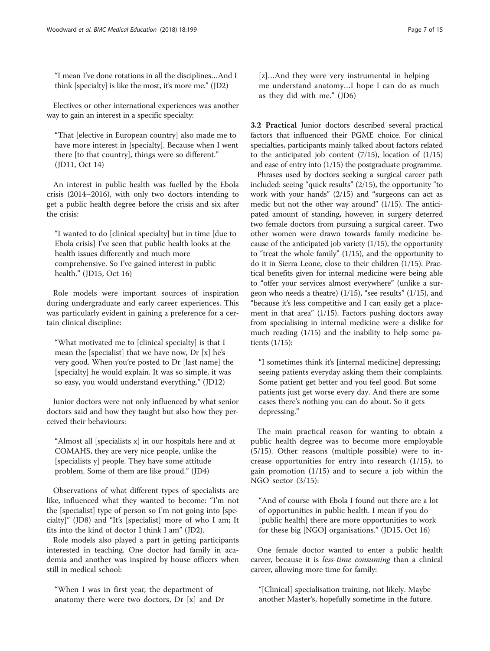"I mean I've done rotations in all the disciplines…And I think [specialty] is like the most, it's more me." (JD2)

Electives or other international experiences was another way to gain an interest in a specific specialty:

"That [elective in European country] also made me to have more interest in [specialty]. Because when I went there [to that country], things were so different." (JD11, Oct 14)

An interest in public health was fuelled by the Ebola crisis (2014–2016), with only two doctors intending to get a public health degree before the crisis and six after the crisis:

"I wanted to do [clinical specialty] but in time [due to Ebola crisis] I've seen that public health looks at the health issues differently and much more comprehensive. So I've gained interest in public health." (JD15, Oct 16)

Role models were important sources of inspiration during undergraduate and early career experiences. This was particularly evident in gaining a preference for a certain clinical discipline:

"What motivated me to [clinical specialty] is that I mean the [specialist] that we have now, Dr [x] he's very good. When you're posted to Dr [last name] the [specialty] he would explain. It was so simple, it was so easy, you would understand everything." (JD12)

Junior doctors were not only influenced by what senior doctors said and how they taught but also how they perceived their behaviours:

"Almost all [specialists x] in our hospitals here and at COMAHS, they are very nice people, unlike the [specialists y] people. They have some attitude problem. Some of them are like proud." (JD4)

Observations of what different types of specialists are like, influenced what they wanted to become: "I'm not the [specialist] type of person so I'm not going into [specialty]" (JD8) and "It's [specialist] more of who I am; It fits into the kind of doctor I think I am" (JD2).

Role models also played a part in getting participants interested in teaching. One doctor had family in academia and another was inspired by house officers when still in medical school:

"When I was in first year, the department of anatomy there were two doctors, Dr [x] and Dr

[z]…And they were very instrumental in helping me understand anatomy…I hope I can do as much as they did with me." (JD6)

3.2 Practical Junior doctors described several practical factors that influenced their PGME choice. For clinical specialties, participants mainly talked about factors related to the anticipated job content  $(7/15)$ , location of  $(1/15)$ and ease of entry into (1/15) the postgraduate programme.

Phrases used by doctors seeking a surgical career path included: seeing "quick results" (2/15), the opportunity "to work with your hands" (2/15) and "surgeons can act as medic but not the other way around" (1/15). The anticipated amount of standing, however, in surgery deterred two female doctors from pursuing a surgical career. Two other women were drawn towards family medicine because of the anticipated job variety (1/15), the opportunity to "treat the whole family" (1/15), and the opportunity to do it in Sierra Leone, close to their children (1/15). Practical benefits given for internal medicine were being able to "offer your services almost everywhere" (unlike a surgeon who needs a theatre) (1/15), "see results" (1/15), and "because it's less competitive and I can easily get a placement in that area"  $(1/15)$ . Factors pushing doctors away from specialising in internal medicine were a dislike for much reading (1/15) and the inability to help some patients (1/15):

"I sometimes think it's [internal medicine] depressing; seeing patients everyday asking them their complaints. Some patient get better and you feel good. But some patients just get worse every day. And there are some cases there's nothing you can do about. So it gets depressing."

The main practical reason for wanting to obtain a public health degree was to become more employable (5/15). Other reasons (multiple possible) were to increase opportunities for entry into research (1/15), to gain promotion (1/15) and to secure a job within the NGO sector (3/15):

"And of course with Ebola I found out there are a lot of opportunities in public health. I mean if you do [public health] there are more opportunities to work for these big [NGO] organisations." (JD15, Oct 16)

One female doctor wanted to enter a public health career, because it is less-time consuming than a clinical career, allowing more time for family:

"[Clinical] specialisation training, not likely. Maybe another Master's, hopefully sometime in the future.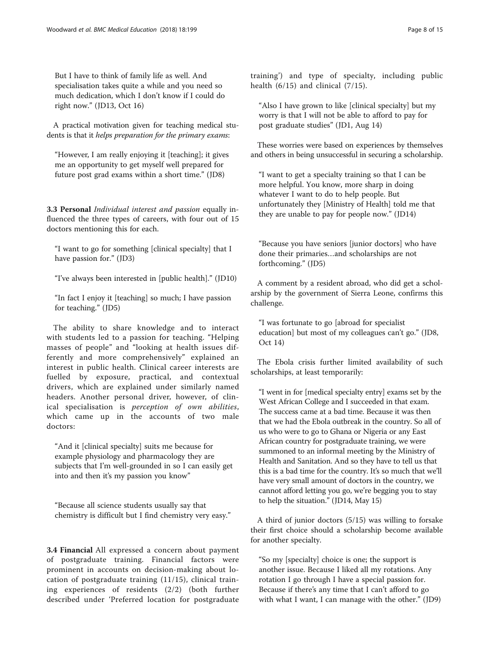But I have to think of family life as well. And specialisation takes quite a while and you need so much dedication, which I don't know if I could do right now." (JD13, Oct 16)

A practical motivation given for teaching medical students is that it helps preparation for the primary exams:

"However, I am really enjoying it [teaching]; it gives me an opportunity to get myself well prepared for future post grad exams within a short time." (JD8)

3.3 Personal Individual interest and passion equally influenced the three types of careers, with four out of 15 doctors mentioning this for each.

"I want to go for something [clinical specialty] that I have passion for." (JD3)

"I've always been interested in [public health]." (JD10)

"In fact I enjoy it [teaching] so much; I have passion for teaching." (JD5)

The ability to share knowledge and to interact with students led to a passion for teaching. "Helping masses of people" and "looking at health issues differently and more comprehensively" explained an interest in public health. Clinical career interests are fuelled by exposure, practical, and contextual drivers, which are explained under similarly named headers. Another personal driver, however, of clinical specialisation is perception of own abilities, which came up in the accounts of two male doctors:

"And it [clinical specialty] suits me because for example physiology and pharmacology they are subjects that I'm well-grounded in so I can easily get into and then it's my passion you know"

"Because all science students usually say that chemistry is difficult but I find chemistry very easy."

3.4 Financial All expressed a concern about payment of postgraduate training. Financial factors were prominent in accounts on decision-making about location of postgraduate training (11/15), clinical training experiences of residents (2/2) (both further described under 'Preferred location for postgraduate training') and type of specialty, including public health  $(6/15)$  and clinical  $(7/15)$ .

"Also I have grown to like [clinical specialty] but my worry is that I will not be able to afford to pay for post graduate studies" (JD1, Aug 14)

These worries were based on experiences by themselves and others in being unsuccessful in securing a scholarship.

"I want to get a specialty training so that I can be more helpful. You know, more sharp in doing whatever I want to do to help people. But unfortunately they [Ministry of Health] told me that they are unable to pay for people now." (JD14)

"Because you have seniors [junior doctors] who have done their primaries…and scholarships are not forthcoming." (JD5)

A comment by a resident abroad, who did get a scholarship by the government of Sierra Leone, confirms this challenge.

"I was fortunate to go [abroad for specialist education] but most of my colleagues can't go." (JD8, Oct 14)

The Ebola crisis further limited availability of such scholarships, at least temporarily:

"I went in for [medical specialty entry] exams set by the West African College and I succeeded in that exam. The success came at a bad time. Because it was then that we had the Ebola outbreak in the country. So all of us who were to go to Ghana or Nigeria or any East African country for postgraduate training, we were summoned to an informal meeting by the Ministry of Health and Sanitation. And so they have to tell us that this is a bad time for the country. It's so much that we'll have very small amount of doctors in the country, we cannot afford letting you go, we're begging you to stay to help the situation." (JD14, May 15)

A third of junior doctors (5/15) was willing to forsake their first choice should a scholarship become available for another specialty.

"So my [specialty] choice is one; the support is another issue. Because I liked all my rotations. Any rotation I go through I have a special passion for. Because if there's any time that I can't afford to go with what I want, I can manage with the other." (JD9)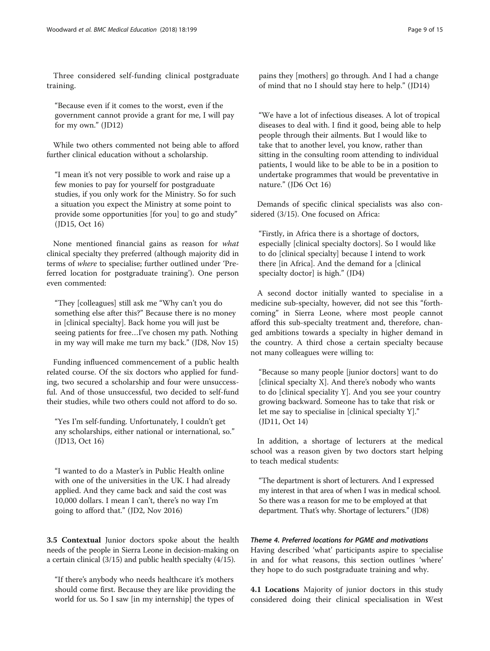Three considered self-funding clinical postgraduate training.

"Because even if it comes to the worst, even if the government cannot provide a grant for me, I will pay for my own." (JD12)

While two others commented not being able to afford further clinical education without a scholarship.

"I mean it's not very possible to work and raise up a few monies to pay for yourself for postgraduate studies, if you only work for the Ministry. So for such a situation you expect the Ministry at some point to provide some opportunities [for you] to go and study" (JD15, Oct 16)

None mentioned financial gains as reason for what clinical specialty they preferred (although majority did in terms of where to specialise; further outlined under 'Preferred location for postgraduate training'). One person even commented:

"They [colleagues] still ask me "Why can't you do something else after this?" Because there is no money in [clinical specialty]. Back home you will just be seeing patients for free…I've chosen my path. Nothing in my way will make me turn my back." (JD8, Nov 15)

Funding influenced commencement of a public health related course. Of the six doctors who applied for funding, two secured a scholarship and four were unsuccessful. And of those unsuccessful, two decided to self-fund their studies, while two others could not afford to do so.

"Yes I'm self-funding. Unfortunately, I couldn't get any scholarships, either national or international, so." (JD13, Oct 16)

"I wanted to do a Master's in Public Health online with one of the universities in the UK. I had already applied. And they came back and said the cost was 10,000 dollars. I mean I can't, there's no way I'm going to afford that." (JD2, Nov 2016)

3.5 Contextual Junior doctors spoke about the health needs of the people in Sierra Leone in decision-making on a certain clinical (3/15) and public health specialty (4/15).

"If there's anybody who needs healthcare it's mothers should come first. Because they are like providing the world for us. So I saw [in my internship] the types of

pains they [mothers] go through. And I had a change of mind that no I should stay here to help." (JD14)

"We have a lot of infectious diseases. A lot of tropical diseases to deal with. I find it good, being able to help people through their ailments. But I would like to take that to another level, you know, rather than sitting in the consulting room attending to individual patients, I would like to be able to be in a position to undertake programmes that would be preventative in nature." (JD6 Oct 16)

Demands of specific clinical specialists was also considered (3/15). One focused on Africa:

"Firstly, in Africa there is a shortage of doctors, especially [clinical specialty doctors]. So I would like to do [clinical specialty] because I intend to work there [in Africa]. And the demand for a [clinical specialty doctor] is high." (JD4)

A second doctor initially wanted to specialise in a medicine sub-specialty, however, did not see this "forthcoming" in Sierra Leone, where most people cannot afford this sub-specialty treatment and, therefore, changed ambitions towards a specialty in higher demand in the country. A third chose a certain specialty because not many colleagues were willing to:

"Because so many people [junior doctors] want to do [clinical specialty X]. And there's nobody who wants to do [clinical speciality Y]. And you see your country growing backward. Someone has to take that risk or let me say to specialise in [clinical specialty Y]." (JD11, Oct 14)

In addition, a shortage of lecturers at the medical school was a reason given by two doctors start helping to teach medical students:

"The department is short of lecturers. And I expressed my interest in that area of when I was in medical school. So there was a reason for me to be employed at that department. That's why. Shortage of lecturers." (JD8)

#### Theme 4. Preferred locations for PGME and motivations

Having described 'what' participants aspire to specialise in and for what reasons, this section outlines 'where' they hope to do such postgraduate training and why.

4.1 Locations Majority of junior doctors in this study considered doing their clinical specialisation in West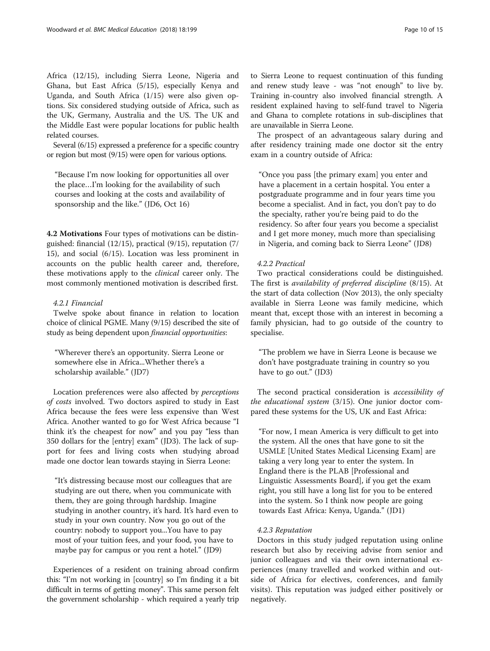Africa (12/15), including Sierra Leone, Nigeria and Ghana, but East Africa (5/15), especially Kenya and Uganda, and South Africa (1/15) were also given options. Six considered studying outside of Africa, such as the UK, Germany, Australia and the US. The UK and the Middle East were popular locations for public health related courses.

Several (6/15) expressed a preference for a specific country or region but most (9/15) were open for various options.

"Because I'm now looking for opportunities all over the place…I'm looking for the availability of such courses and looking at the costs and availability of sponsorship and the like." (JD6, Oct 16)

4.2 Motivations Four types of motivations can be distinguished: financial (12/15), practical (9/15), reputation (7/ 15), and social (6/15). Location was less prominent in accounts on the public health career and, therefore, these motivations apply to the clinical career only. The most commonly mentioned motivation is described first.

## 4.2.1 Financial

Twelve spoke about finance in relation to location choice of clinical PGME. Many (9/15) described the site of study as being dependent upon financial opportunities:

"Wherever there's an opportunity. Sierra Leone or somewhere else in Africa...Whether there's a scholarship available." (JD7)

Location preferences were also affected by perceptions of costs involved. Two doctors aspired to study in East Africa because the fees were less expensive than West Africa. Another wanted to go for West Africa because "I think it's the cheapest for now" and you pay "less than 350 dollars for the [entry] exam" (JD3). The lack of support for fees and living costs when studying abroad made one doctor lean towards staying in Sierra Leone:

"It's distressing because most our colleagues that are studying are out there, when you communicate with them, they are going through hardship. Imagine studying in another country, it's hard. It's hard even to study in your own country. Now you go out of the country: nobody to support you...You have to pay most of your tuition fees, and your food, you have to maybe pay for campus or you rent a hotel." (JD9)

Experiences of a resident on training abroad confirm this: "I'm not working in [country] so I'm finding it a bit difficult in terms of getting money". This same person felt the government scholarship - which required a yearly trip

to Sierra Leone to request continuation of this funding and renew study leave - was "not enough" to live by. Training in-country also involved financial strength. A resident explained having to self-fund travel to Nigeria and Ghana to complete rotations in sub-disciplines that are unavailable in Sierra Leone.

The prospect of an advantageous salary during and after residency training made one doctor sit the entry exam in a country outside of Africa:

"Once you pass [the primary exam] you enter and have a placement in a certain hospital. You enter a postgraduate programme and in four years time you become a specialist. And in fact, you don't pay to do the specialty, rather you're being paid to do the residency. So after four years you become a specialist and I get more money, much more than specialising in Nigeria, and coming back to Sierra Leone" (JD8)

## 4.2.2 Practical

Two practical considerations could be distinguished. The first is availability of preferred discipline (8/15). At the start of data collection (Nov 2013), the only specialty available in Sierra Leone was family medicine, which meant that, except those with an interest in becoming a family physician, had to go outside of the country to specialise.

"The problem we have in Sierra Leone is because we don't have postgraduate training in country so you have to go out." (JD3)

The second practical consideration is accessibility of the educational system (3/15). One junior doctor compared these systems for the US, UK and East Africa:

"For now, I mean America is very difficult to get into the system. All the ones that have gone to sit the USMLE [United States Medical Licensing Exam] are taking a very long year to enter the system. In England there is the PLAB [Professional and Linguistic Assessments Board], if you get the exam right, you still have a long list for you to be entered into the system. So I think now people are going towards East Africa: Kenya, Uganda." (JD1)

#### 4.2.3 Reputation

Doctors in this study judged reputation using online research but also by receiving advise from senior and junior colleagues and via their own international experiences (many travelled and worked within and outside of Africa for electives, conferences, and family visits). This reputation was judged either positively or negatively.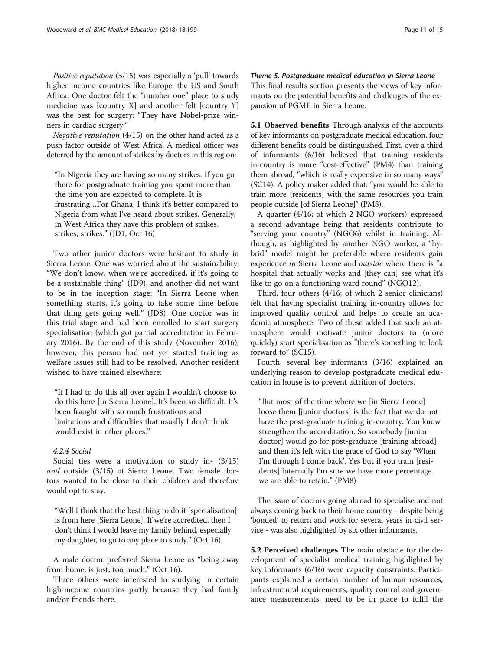Positive reputation (3/15) was especially a 'pull' towards higher income countries like Europe, the US and South Africa. One doctor felt the "number one" place to study medicine was [country  $X$ ] and another felt [country  $Y$ ] was the best for surgery: "They have Nobel-prize winners in cardiac surgery."

Negative reputation (4/15) on the other hand acted as a push factor outside of West Africa. A medical officer was deterred by the amount of strikes by doctors in this region:

"In Nigeria they are having so many strikes. If you go there for postgraduate training you spent more than the time you are expected to complete. It is frustrating…For Ghana, I think it's better compared to Nigeria from what I've heard about strikes. Generally, in West Africa they have this problem of strikes, strikes, strikes." (JD1, Oct 16)

Two other junior doctors were hesitant to study in Sierra Leone. One was worried about the sustainability, "We don't know, when we're accredited, if it's going to be a sustainable thing" (JD9), and another did not want to be in the inception stage: "In Sierra Leone when something starts, it's going to take some time before that thing gets going well." (JD8). One doctor was in this trial stage and had been enrolled to start surgery specialisation (which got partial accreditation in February 2016). By the end of this study (November 2016), however, this person had not yet started training as welfare issues still had to be resolved. Another resident wished to have trained elsewhere:

"If I had to do this all over again I wouldn't choose to do this here [in Sierra Leone]. It's been so difficult. It's been fraught with so much frustrations and limitations and difficulties that usually I don't think would exist in other places."

## 4.2.4 Social

Social ties were a motivation to study in- (3/15) and outside (3/15) of Sierra Leone. Two female doctors wanted to be close to their children and therefore would opt to stay.

"Well I think that the best thing to do it [specialisation] is from here [Sierra Leone]. If we're accredited, then I don't think I would leave my family behind, especially my daughter, to go to any place to study." (Oct 16)

A male doctor preferred Sierra Leone as "being away from home, is just, too much." (Oct 16).

Three others were interested in studying in certain high-income countries partly because they had family and/or friends there.

Theme 5. Postgraduate medical education in Sierra Leone This final results section presents the views of key informants on the potential benefits and challenges of the expansion of PGME in Sierra Leone.

5.1 Observed benefits Through analysis of the accounts of key informants on postgraduate medical education, four different benefits could be distinguished. First, over a third of informants (6/16) believed that training residents in-country is more "cost-effective" (PM4) than training them abroad, "which is really expensive in so many ways" (SC14). A policy maker added that: "you would be able to train more [residents] with the same resources you train people outside [of Sierra Leone]" (PM8).

A quarter (4/16; of which 2 NGO workers) expressed a second advantage being that residents contribute to "serving your country" (NGO6) whilst in training. Although, as highlighted by another NGO worker, a "hybrid" model might be preferable where residents gain experience in Sierra Leone and *outside* where there is "a hospital that actually works and [they can] see what it's like to go on a functioning ward round" (NGO12).

Third, four others (4/16; of which 2 senior clinicians) felt that having specialist training in-country allows for improved quality control and helps to create an academic atmosphere. Two of these added that such an atmosphere would motivate junior doctors to (more quickly) start specialisation as "there's something to look forward to" (SC15).

Fourth, several key informants (3/16) explained an underlying reason to develop postgraduate medical education in house is to prevent attrition of doctors.

"But most of the time where we [in Sierra Leone] loose them [junior doctors] is the fact that we do not have the post-graduate training in-country. You know strengthen the accreditation. So somebody [junior doctor] would go for post-graduate [training abroad] and then it's left with the grace of God to say 'When I'm through I come back'. Yes but if you train [residents] internally I'm sure we have more percentage we are able to retain." (PM8)

The issue of doctors going abroad to specialise and not always coming back to their home country - despite being 'bonded' to return and work for several years in civil service - was also highlighted by six other informants.

5.2 Perceived challenges The main obstacle for the development of specialist medical training highlighted by key informants (6/16) were capacity constraints. Participants explained a certain number of human resources, infrastructural requirements, quality control and governance measurements, need to be in place to fulfil the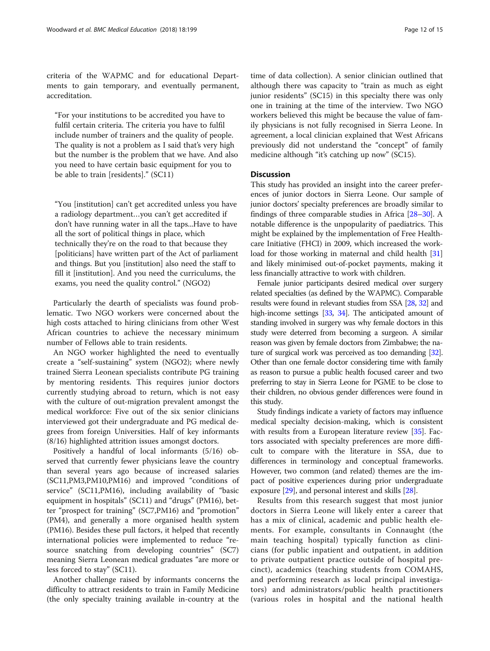criteria of the WAPMC and for educational Departments to gain temporary, and eventually permanent, accreditation.

"For your institutions to be accredited you have to fulfil certain criteria. The criteria you have to fulfil include number of trainers and the quality of people. The quality is not a problem as I said that's very high but the number is the problem that we have. And also you need to have certain basic equipment for you to be able to train [residents]." (SC11)

"You [institution] can't get accredited unless you have a radiology department…you can't get accredited if don't have running water in all the taps...Have to have all the sort of political things in place, which technically they're on the road to that because they [politicians] have written part of the Act of parliament and things. But you [institution] also need the staff to fill it [institution]. And you need the curriculums, the exams, you need the quality control." (NGO2)

Particularly the dearth of specialists was found problematic. Two NGO workers were concerned about the high costs attached to hiring clinicians from other West African countries to achieve the necessary minimum number of Fellows able to train residents.

An NGO worker highlighted the need to eventually create a "self-sustaining" system (NGO2); where newly trained Sierra Leonean specialists contribute PG training by mentoring residents. This requires junior doctors currently studying abroad to return, which is not easy with the culture of out-migration prevalent amongst the medical workforce: Five out of the six senior clinicians interviewed got their undergraduate and PG medical degrees from foreign Universities. Half of key informants (8/16) highlighted attrition issues amongst doctors.

Positively a handful of local informants (5/16) observed that currently fewer physicians leave the country than several years ago because of increased salaries (SC11,PM3,PM10,PM16) and improved "conditions of service" (SC11,PM16), including availability of "basic equipment in hospitals" (SC11) and "drugs" (PM16), better "prospect for training" (SC7,PM16) and "promotion" (PM4), and generally a more organised health system (PM16). Besides these pull factors, it helped that recently international policies were implemented to reduce "resource snatching from developing countries" (SC7) meaning Sierra Leonean medical graduates "are more or less forced to stay" (SC11).

Another challenge raised by informants concerns the difficulty to attract residents to train in Family Medicine (the only specialty training available in-country at the

time of data collection). A senior clinician outlined that although there was capacity to "train as much as eight junior residents" (SC15) in this specialty there was only one in training at the time of the interview. Two NGO workers believed this might be because the value of family physicians is not fully recognised in Sierra Leone. In agreement, a local clinician explained that West Africans previously did not understand the "concept" of family medicine although "it's catching up now" (SC15).

## **Discussion**

This study has provided an insight into the career preferences of junior doctors in Sierra Leone. Our sample of junior doctors' specialty preferences are broadly similar to findings of three comparable studies in Africa [\[28](#page-14-0)–[30](#page-14-0)]. A notable difference is the unpopularity of paediatrics. This might be explained by the implementation of Free Healthcare Initiative (FHCI) in 2009, which increased the work-load for those working in maternal and child health [[31](#page-14-0)] and likely minimised out-of-pocket payments, making it less financially attractive to work with children.

Female junior participants desired medical over surgery related specialties (as defined by the WAPMC). Comparable results were found in relevant studies from SSA [\[28](#page-14-0), [32](#page-14-0)] and high-income settings [[33,](#page-14-0) [34\]](#page-14-0). The anticipated amount of standing involved in surgery was why female doctors in this study were deterred from becoming a surgeon. A similar reason was given by female doctors from Zimbabwe; the nature of surgical work was perceived as too demanding [\[32\]](#page-14-0). Other than one female doctor considering time with family as reason to pursue a public health focused career and two preferring to stay in Sierra Leone for PGME to be close to their children, no obvious gender differences were found in this study.

Study findings indicate a variety of factors may influence medical specialty decision-making, which is consistent with results from a European literature review [\[35\]](#page-14-0). Factors associated with specialty preferences are more difficult to compare with the literature in SSA, due to differences in terminology and conceptual frameworks. However, two common (and related) themes are the impact of positive experiences during prior undergraduate exposure [\[29](#page-14-0)], and personal interest and skills [\[28\]](#page-14-0).

Results from this research suggest that most junior doctors in Sierra Leone will likely enter a career that has a mix of clinical, academic and public health elements. For example, consultants in Connaught (the main teaching hospital) typically function as clinicians (for public inpatient and outpatient, in addition to private outpatient practice outside of hospital precinct), academics (teaching students from COMAHS, and performing research as local principal investigators) and administrators/public health practitioners (various roles in hospital and the national health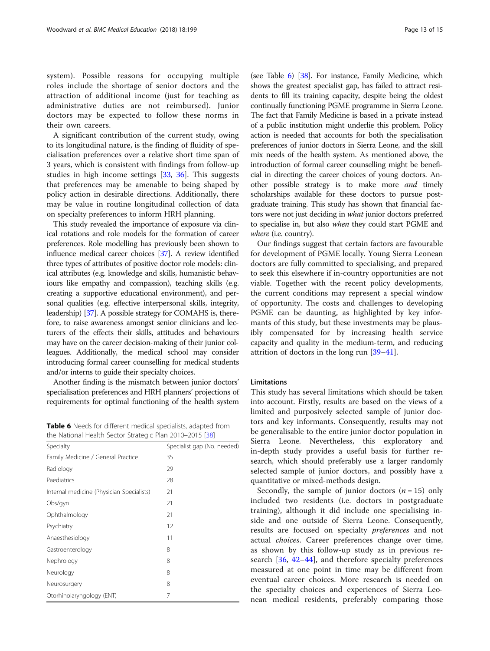system). Possible reasons for occupying multiple roles include the shortage of senior doctors and the attraction of additional income (just for teaching as administrative duties are not reimbursed). Junior doctors may be expected to follow these norms in their own careers.

A significant contribution of the current study, owing to its longitudinal nature, is the finding of fluidity of specialisation preferences over a relative short time span of 3 years, which is consistent with findings from follow-up studies in high income settings [[33,](#page-14-0) [36](#page-14-0)]. This suggests that preferences may be amenable to being shaped by policy action in desirable directions. Additionally, there may be value in routine longitudinal collection of data on specialty preferences to inform HRH planning.

This study revealed the importance of exposure via clinical rotations and role models for the formation of career preferences. Role modelling has previously been shown to influence medical career choices [[37](#page-14-0)]. A review identified three types of attributes of positive doctor role models: clinical attributes (e.g. knowledge and skills, humanistic behaviours like empathy and compassion), teaching skills (e.g. creating a supportive educational environment), and personal qualities (e.g. effective interpersonal skills, integrity, leadership) [\[37](#page-14-0)]. A possible strategy for COMAHS is, therefore, to raise awareness amongst senior clinicians and lecturers of the effects their skills, attitudes and behaviours may have on the career decision-making of their junior colleagues. Additionally, the medical school may consider introducing formal career counselling for medical students and/or interns to guide their specialty choices.

Another finding is the mismatch between junior doctors' specialisation preferences and HRH planners' projections of requirements for optimal functioning of the health system

Table 6 Needs for different medical specialists, adapted from the National Health Sector Strategic Plan 2010–2015 [[38](#page-14-0)]

| Specialty                                 | Specialist gap (No. needed) |  |  |
|-------------------------------------------|-----------------------------|--|--|
| Family Medicine / General Practice        | 35                          |  |  |
| Radiology                                 | 29                          |  |  |
| Paediatrics                               | 28                          |  |  |
| Internal medicine (Physician Specialists) | 21                          |  |  |
| Obs/gyn                                   | 21                          |  |  |
| Ophthalmology                             | 21                          |  |  |
| Psychiatry                                | 12                          |  |  |
| Anaesthesiology                           | 11                          |  |  |
| Gastroenterology                          | 8                           |  |  |
| Nephrology                                | 8                           |  |  |
| Neurology                                 | 8                           |  |  |
| Neurosurgery                              | 8                           |  |  |
| Otorhinolaryngology (ENT)                 | 7                           |  |  |

(see Table 6) [\[38\]](#page-14-0). For instance, Family Medicine, which shows the greatest specialist gap, has failed to attract residents to fill its training capacity, despite being the oldest continually functioning PGME programme in Sierra Leone. The fact that Family Medicine is based in a private instead of a public institution might underlie this problem. Policy action is needed that accounts for both the specialisation preferences of junior doctors in Sierra Leone, and the skill mix needs of the health system. As mentioned above, the introduction of formal career counselling might be beneficial in directing the career choices of young doctors. Another possible strategy is to make more and timely scholarships available for these doctors to pursue postgraduate training. This study has shown that financial factors were not just deciding in what junior doctors preferred to specialise in, but also when they could start PGME and where (i.e. country).

Our findings suggest that certain factors are favourable for development of PGME locally. Young Sierra Leonean doctors are fully committed to specialising, and prepared to seek this elsewhere if in-country opportunities are not viable. Together with the recent policy developments, the current conditions may represent a special window of opportunity. The costs and challenges to developing PGME can be daunting, as highlighted by key informants of this study, but these investments may be plausibly compensated for by increasing health service capacity and quality in the medium-term, and reducing attrition of doctors in the long run [\[39](#page-14-0)–[41\]](#page-14-0).

## Limitations

This study has several limitations which should be taken into account. Firstly, results are based on the views of a limited and purposively selected sample of junior doctors and key informants. Consequently, results may not be generalisable to the entire junior doctor population in Sierra Leone. Nevertheless, this exploratory and in-depth study provides a useful basis for further research, which should preferably use a larger randomly selected sample of junior doctors, and possibly have a quantitative or mixed-methods design.

Secondly, the sample of junior doctors  $(n = 15)$  only included two residents (i.e. doctors in postgraduate training), although it did include one specialising inside and one outside of Sierra Leone. Consequently, results are focused on specialty preferences and not actual choices. Career preferences change over time, as shown by this follow-up study as in previous research [\[36](#page-14-0), [42](#page-14-0)–[44\]](#page-14-0), and therefore specialty preferences measured at one point in time may be different from eventual career choices. More research is needed on the specialty choices and experiences of Sierra Leonean medical residents, preferably comparing those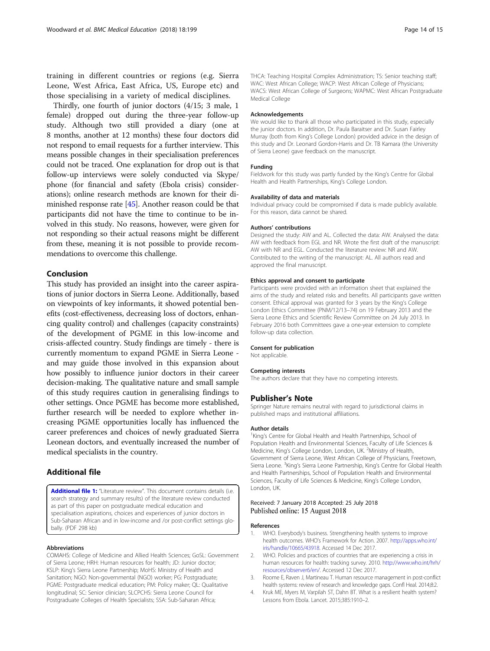<span id="page-13-0"></span>training in different countries or regions (e.g. Sierra Leone, West Africa, East Africa, US, Europe etc) and those specialising in a variety of medical disciplines.

Thirdly, one fourth of junior doctors (4/15; 3 male, 1 female) dropped out during the three-year follow-up study. Although two still provided a diary (one at 8 months, another at 12 months) these four doctors did not respond to email requests for a further interview. This means possible changes in their specialisation preferences could not be traced. One explanation for drop out is that follow-up interviews were solely conducted via Skype/ phone (for financial and safety (Ebola crisis) considerations); online research methods are known for their diminished response rate [\[45\]](#page-14-0). Another reason could be that participants did not have the time to continue to be involved in this study. No reasons, however, were given for not responding so their actual reasons might be different from these, meaning it is not possible to provide recommendations to overcome this challenge.

## Conclusion

This study has provided an insight into the career aspirations of junior doctors in Sierra Leone. Additionally, based on viewpoints of key informants, it showed potential benefits (cost-effectiveness, decreasing loss of doctors, enhancing quality control) and challenges (capacity constraints) of the development of PGME in this low-income and crisis-affected country. Study findings are timely - there is currently momentum to expand PGME in Sierra Leone and may guide those involved in this expansion about how possibly to influence junior doctors in their career decision-making. The qualitative nature and small sample of this study requires caution in generalising findings to other settings. Once PGME has become more established, further research will be needed to explore whether increasing PGME opportunities locally has influenced the career preferences and choices of newly graduated Sierra Leonean doctors, and eventually increased the number of medical specialists in the country.

## Additional file

[Additional file 1:](https://doi.org/10.1186/s12909-018-1292-1) "Literature review". This document contains details (i.e. search strategy and summary results) of the literature review conducted as part of this paper on postgraduate medical education and specialisation aspirations, choices and experiences of junior doctors in Sub-Saharan African and in low-income and /or post-conflict settings globally. (PDF 298 kb)

#### Abbreviations

COMAHS: College of Medicine and Allied Health Sciences; GoSL: Government of Sierra Leone; HRH: Human resources for health; JD: Junior doctor; KSLP: King's Sierra Leone Partnership; MoHS: Ministry of Health and Sanitation; NGO: Non-governmental (NGO) worker; PG: Postgraduate; PGME: Postgraduate medical education; PM: Policy maker; QL: Qualitative longitudinal; SC: Senior clinician; SLCPCHS: Sierra Leone Council for Postgraduate Colleges of Health Specialists; SSA: Sub-Saharan Africa;

THCA: Teaching Hospital Complex Administration; TS: Senior teaching staff; WAC: West African College; WACP: West African College of Physicians; WACS: West African College of Surgeons; WAPMC: West African Postgraduate Medical College

#### Acknowledgements

We would like to thank all those who participated in this study, especially the junior doctors. In addition, Dr. Paula Baraitser and Dr. Susan Fairley Murray (both from King's College London) provided advice in the design of this study and Dr. Leonard Gordon-Harris and Dr. TB Kamara (the University of Sierra Leone) gave feedback on the manuscript.

#### Funding

Fieldwork for this study was partly funded by the King's Centre for Global Health and Health Partnerships, King's College London.

#### Availability of data and materials

Individual privacy could be compromised if data is made publicly available. For this reason, data cannot be shared.

#### Authors' contributions

Designed the study: AW and AL. Collected the data: AW. Analysed the data: AW with feedback from EGL and NR. Wrote the first draft of the manuscript: AW with NR and EGL. Conducted the literature review: NR and AW. Contributed to the writing of the manuscript: AL. All authors read and approved the final manuscript.

#### Ethics approval and consent to participate

Participants were provided with an information sheet that explained the aims of the study and related risks and benefits. All participants gave written consent. Ethical approval was granted for 3 years by the King's College London Ethics Committee (PNM/12/13–74) on 19 February 2013 and the Sierra Leone Ethics and Scientific Review Committee on 24 July 2013. In February 2016 both Committees gave a one-year extension to complete follow-up data collection.

#### Consent for publication

Not applicable.

#### Competing interests

The authors declare that they have no competing interests.

#### Publisher's Note

Springer Nature remains neutral with regard to jurisdictional claims in published maps and institutional affiliations.

#### Author details

<sup>1</sup>King's Centre for Global Health and Health Partnerships, School of Population Health and Environmental Sciences, Faculty of Life Sciences & Medicine, King's College London, London, UK. <sup>2</sup>Ministry of Health, Government of Sierra Leone, West African College of Physicians, Freetown, Sierra Leone. <sup>3</sup>King's Sierra Leone Partnership, King's Centre for Global Health and Health Partnerships, School of Population Health and Environmental Sciences, Faculty of Life Sciences & Medicine, King's College London, London, UK.

#### Received: 7 January 2018 Accepted: 25 July 2018 Published online: 15 August 2018

#### References

- 1. WHO. Everybody's business. Strengthening health systems to improve health outcomes. WHO's Framework for Action. 2007. [http://apps.who.int/](http://apps.who.int/iris/handle/10665/43918) [iris/handle/10665/43918](http://apps.who.int/iris/handle/10665/43918). Accessed 14 Dec 2017.
- 2. WHO. Policies and practices of countries that are experiencing a crisis in human resources for health: tracking survey. 2010. [http://www.who.int/hrh/](http://www.who.int/hrh/resources/observer6/en) [resources/observer6/en/.](http://www.who.int/hrh/resources/observer6/en) Accessed 12 Dec 2017.
- 3. Roome E, Raven J, Martineau T. Human resource management in post-conflict health systems: review of research and knowledge gaps. Confl Heal. 2014;8:2.
- 4. Kruk ME, Myers M, Varpilah ST, Dahn BT. What is a resilient health system? Lessons from Ebola. Lancet. 2015;385:1910–2.